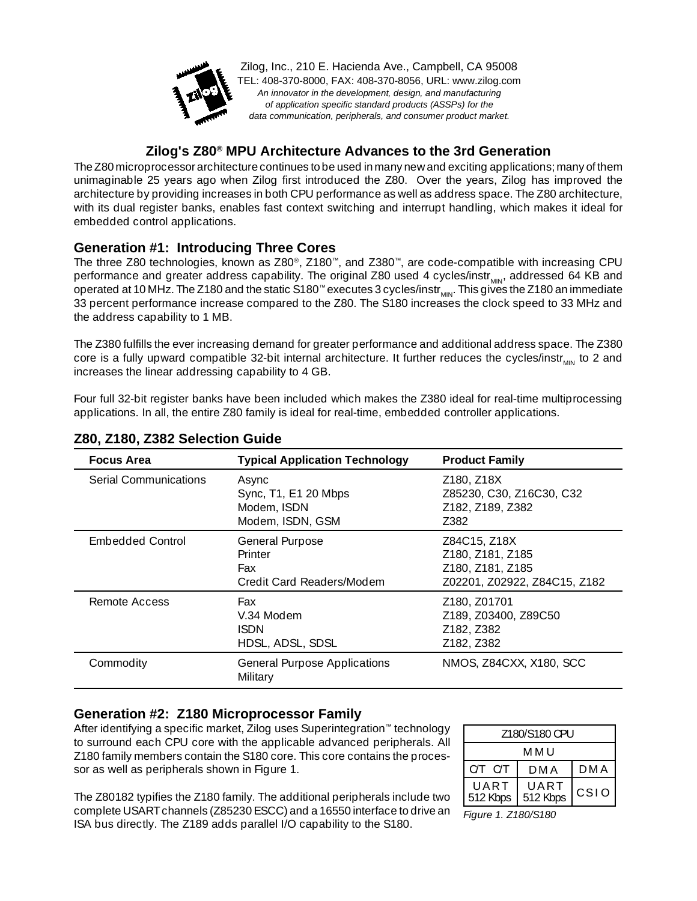

Zilog, Inc., 210 E. Hacienda Ave., Campbell, CA 95008 TEL: 408-370-8000, FAX: 408-370-8056, URL: www.zilog.com An innovator in the development, design, and manufacturing of application specific standard products (ASSPs) for the data communication, peripherals, and consumer product market.

### **Zilog's Z80® MPU Architecture Advances to the 3rd Generation**

The Z80 microprocessor architecture continues to be used in many new and exciting applications; many of them unimaginable 25 years ago when Zilog first introduced the Z80. Over the years, Zilog has improved the architecture by providing increases in both CPU performance as well as address space. The Z80 architecture, with its dual register banks, enables fast context switching and interrupt handling, which makes it ideal for embedded control applications.

## **Generation #1: Introducing Three Cores**

The three Z80 technologies, known as Z80®, Z180™, and Z380™, are code-compatible with increasing CPU performance and greater address capability. The original Z80 used 4 cycles/instr<sub>MIN</sub>, addressed 64 KB and operated at 10 MHz. The Z180 and the static S180<sup>™</sup> executes 3 cycles/instr<sub>MIN</sub>. This gives the Z180 an immediate 33 percent performance increase compared to the Z80. The S180 increases the clock speed to 33 MHz and the address capability to 1 MB.

The Z380 fulfills the ever increasing demand for greater performance and additional address space. The Z380 core is a fully upward compatible 32-bit internal architecture. It further reduces the cycles/instr $_{MIM}$  to 2 and increases the linear addressing capability to 4 GB.

Four full 32-bit register banks have been included which makes the Z380 ideal for real-time multiprocessing applications. In all, the entire Z80 family is ideal for real-time, embedded controller applications.

| <b>Focus Area</b>            | <b>Typical Application Technology</b>                            | <b>Product Family</b>                                                                |  |
|------------------------------|------------------------------------------------------------------|--------------------------------------------------------------------------------------|--|
| <b>Serial Communications</b> | Async<br>Sync, T1, E1 20 Mbps<br>Modem, ISDN<br>Modem, ISDN, GSM | Z180, Z18X<br>Z85230, C30, Z16C30, C32<br>Z182, Z189, Z382<br>Z382                   |  |
| <b>Embedded Control</b>      | General Purpose<br>Printer<br>Fax<br>Credit Card Readers/Modem   | Z84C15, Z18X<br>Z180, Z181, Z185<br>Z180, Z181, Z185<br>Z02201, Z02922, Z84C15, Z182 |  |
| Remote Access                | Fax<br>V.34 Modem<br><b>ISDN</b><br>HDSL, ADSL, SDSL             | Z180, Z01701<br>Z189, Z03400, Z89C50<br>Z182, Z382<br>Z182, Z382                     |  |
| Commodity                    | <b>General Purpose Applications</b><br>Military                  | NMOS, Z84CXX, X180, SCC                                                              |  |

#### **Z80, Z180, Z382 Selection Guide**

#### **Generation #2: Z180 Microprocessor Family**

After identifying a specific market, Zilog uses Superintegration™ technology to surround each CPU core with the applicable advanced peripherals. All Z180 family members contain the S180 core. This core contains the processor as well as peripherals shown in Figure 1.

The Z80182 typifies the Z180 family. The additional peripherals include two complete USART channels (Z85230 ESCC) and a 16550 interface to drive an ISA bus directly. The Z189 adds parallel I/O capability to the S180.

| 7180/S180 CPU    |                  |       |  |  |  |  |
|------------------|------------------|-------|--|--|--|--|
| M M U            |                  |       |  |  |  |  |
| $C/T$ $C/T$      | D M A            | D M A |  |  |  |  |
| UART<br>512 Kbps | UART<br>512 Kbps | CSDO  |  |  |  |  |

*Figure 1. Z180/S180*